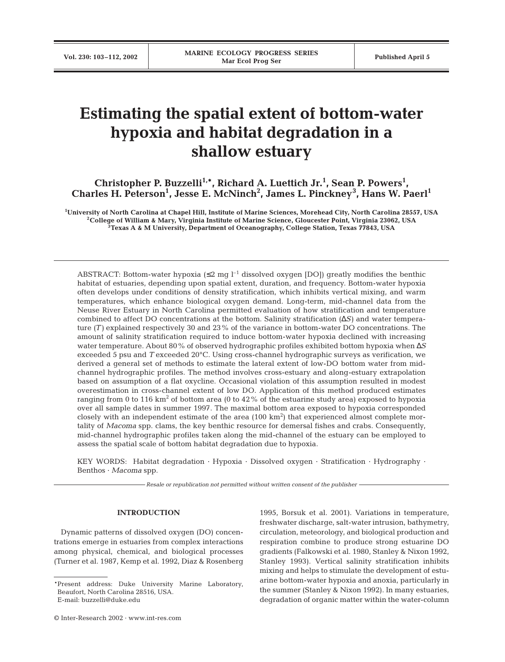# **Estimating the spatial extent of bottom-water hypoxia and habitat degradation in a shallow estuary**

Christopher P. Buzzelli<sup>1,\*</sup>, Richard A. Luettich Jr.<sup>1</sup>, Sean P. Powers<sup>1</sup>, **Charles H. Peterson1 , Jesse E. McNinch2 , James L. Pinckney<sup>3</sup> , Hans W. Paerl1**

**1 University of North Carolina at Chapel Hill, Institute of Marine Sciences, Morehead City, North Carolina 28557, USA 2College of William & Mary, Virginia Institute of Marine Science, Gloucester Point, Virginia 23062, USA 3Texas A & M University, Department of Oceanography, College Station, Texas 77843, USA**

ABSTRACT: Bottom-water hypoxia  $(\leq 2 \text{ mg } l^{-1}$  dissolved oxygen [DO]) greatly modifies the benthic habitat of estuaries, depending upon spatial extent, duration, and frequency. Bottom-water hypoxia often develops under conditions of density stratification, which inhibits vertical mixing, and warm temperatures, which enhance biological oxygen demand. Long-term, mid-channel data from the Neuse River Estuary in North Carolina permitted evaluation of how stratification and temperature combined to affect DO concentrations at the bottom. Salinity stratification (∆*S)* and water temperature *(T)* explained respectively 30 and 23% of the variance in bottom-water DO concentrations. The amount of salinity stratification required to induce bottom-water hypoxia declined with increasing water temperature. About 80% of observed hydrographic profiles exhibited bottom hypoxia when ∆*S* exceeded 5 psu and *T* exceeded 20°C. Using cross-channel hydrographic surveys as verification, we derived a general set of methods to estimate the lateral extent of low-DO bottom water from midchannel hydrographic profiles. The method involves cross-estuary and along-estuary extrapolation based on assumption of a flat oxycline. Occasional violation of this assumption resulted in modest overestimation in cross-channel extent of low DO. Application of this method produced estimates ranging from 0 to 116  $km^2$  of bottom area (0 to 42% of the estuarine study area) exposed to hypoxia over all sample dates in summer 1997. The maximal bottom area exposed to hypoxia corresponded closely with an independent estimate of the area  $(100 \text{ km}^2)$  that experienced almost complete mortality of *Macoma* spp. clams, the key benthic resource for demersal fishes and crabs. Consequently, mid-channel hydrographic profiles taken along the mid-channel of the estuary can be employed to assess the spatial scale of bottom habitat degradation due to hypoxia.

KEY WORDS: Habitat degradation · Hypoxia · Dissolved oxygen · Stratification · Hydrography · Benthos · *Macoma* spp.

*Resale or republication not permitted without written consent of the publisher*

### **INTRODUCTION**

Dynamic patterns of dissolved oxygen (DO) concentrations emerge in estuaries from complex interactions among physical, chemical, and biological processes (Turner et al. 1987, Kemp et al. 1992, Diaz & Rosenberg

E-mail: buzzelli@duke.edu

1995, Borsuk et al. 2001). Variations in temperature, freshwater discharge, salt-water intrusion, bathymetry, circulation, meteorology, and biological production and respiration combine to produce strong estuarine DO gradients (Falkowski et al. 1980, Stanley & Nixon 1992, Stanley 1993). Vertical salinity stratification inhibits mixing and helps to stimulate the development of estuarine bottom-water hypoxia and anoxia, particularly in the summer (Stanley & Nixon 1992). In many estuaries, degradation of organic matter within the water-column

<sup>\*</sup>Present address: Duke University Marine Laboratory, Beaufort, North Carolina 28516, USA.

<sup>©</sup> Inter-Research 2002 · www.int-res.com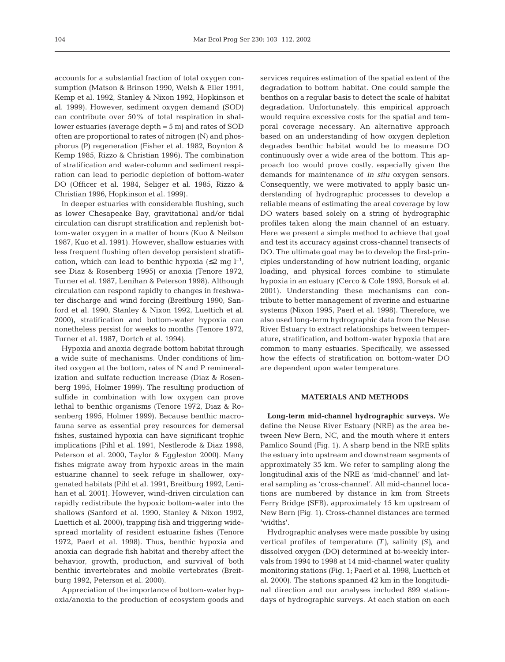accounts for a substantial fraction of total oxygen consumption (Matson & Brinson 1990, Welsh & Eller 1991, Kemp et al. 1992, Stanley & Nixon 1992, Hopkinson et al. 1999). However, sediment oxygen demand (SOD) can contribute over 50% of total respiration in shallower estuaries (average depth = 5 m) and rates of SOD often are proportional to rates of nitrogen (N) and phosphorus (P) regeneration (Fisher et al. 1982, Boynton & Kemp 1985, Rizzo & Christian 1996). The combination of stratification and water-column and sediment respiration can lead to periodic depletion of bottom-water DO (Officer et al. 1984, Seliger et al. 1985, Rizzo & Christian 1996, Hopkinson et al. 1999).

In deeper estuaries with considerable flushing, such as lower Chesapeake Bay, gravitational and/or tidal circulation can disrupt stratification and replenish bottom-water oxygen in a matter of hours (Kuo & Neilson 1987, Kuo et al. 1991). However, shallow estuaries with less frequent flushing often develop persistent stratification, which can lead to benthic hypoxia ( $\leq 2$  mg  $l^{-1}$ , see Diaz & Rosenberg 1995) or anoxia (Tenore 1972, Turner et al. 1987, Lenihan & Peterson 1998). Although circulation can respond rapidly to changes in freshwater discharge and wind forcing (Breitburg 1990, Sanford et al. 1990, Stanley & Nixon 1992, Luettich et al. 2000), stratification and bottom-water hypoxia can nonetheless persist for weeks to months (Tenore 1972, Turner et al. 1987, Dortch et al. 1994).

Hypoxia and anoxia degrade bottom habitat through a wide suite of mechanisms. Under conditions of limited oxygen at the bottom, rates of N and P remineralization and sulfate reduction increase (Diaz & Rosenberg 1995, Holmer 1999). The resulting production of sulfide in combination with low oxygen can prove lethal to benthic organisms (Tenore 1972, Diaz & Rosenberg 1995, Holmer 1999). Because benthic macrofauna serve as essential prey resources for demersal fishes, sustained hypoxia can have significant trophic implications (Pihl et al. 1991, Nestlerode & Diaz 1998, Peterson et al. 2000, Taylor & Eggleston 2000). Many fishes migrate away from hypoxic areas in the main estuarine channel to seek refuge in shallower, oxygenated habitats (Pihl et al. 1991, Breitburg 1992, Lenihan et al. 2001). However, wind-driven circulation can rapidly redistribute the hypoxic bottom-water into the shallows (Sanford et al. 1990, Stanley & Nixon 1992, Luettich et al. 2000), trapping fish and triggering widespread mortality of resident estuarine fishes (Tenore 1972, Paerl et al. 1998). Thus, benthic hypoxia and anoxia can degrade fish habitat and thereby affect the behavior, growth, production, and survival of both benthic invertebrates and mobile vertebrates (Breitburg 1992, Peterson et al. 2000).

Appreciation of the importance of bottom-water hypoxia/anoxia to the production of ecosystem goods and

services requires estimation of the spatial extent of the degradation to bottom habitat. One could sample the benthos on a regular basis to detect the scale of habitat degradation. Unfortunately, this empirical approach would require excessive costs for the spatial and temporal coverage necessary. An alternative approach based on an understanding of how oxygen depletion degrades benthic habitat would be to measure DO continuously over a wide area of the bottom. This approach too would prove costly, especially given the demands for maintenance of *in situ* oxygen sensors. Consequently, we were motivated to apply basic understanding of hydrographic processes to develop a reliable means of estimating the areal coverage by low DO waters based solely on a string of hydrographic profiles taken along the main channel of an estuary. Here we present a simple method to achieve that goal and test its accuracy against cross-channel transects of DO. The ultimate goal may be to develop the first-principles understanding of how nutrient loading, organic loading, and physical forces combine to stimulate hypoxia in an estuary (Cerco & Cole 1993, Borsuk et al. 2001). Understanding these mechanisms can contribute to better management of riverine and estuarine systems (Nixon 1995, Paerl et al. 1998). Therefore, we also used long-term hydrographic data from the Neuse River Estuary to extract relationships between temperature, stratification, and bottom-water hypoxia that are common to many estuaries. Specifically, we assessed how the effects of stratification on bottom-water DO are dependent upon water temperature.

# **MATERIALS AND METHODS**

**Long-term mid-channel hydrographic surveys.** We define the Neuse River Estuary (NRE) as the area between New Bern, NC, and the mouth where it enters Pamlico Sound (Fig. 1). A sharp bend in the NRE splits the estuary into upstream and downstream segments of approximately 35 km. We refer to sampling along the longitudinal axis of the NRE as 'mid-channel' and lateral sampling as 'cross-channel'. All mid-channel locations are numbered by distance in km from Streets Ferry Bridge (SFB), approximately 15 km upstream of New Bern (Fig. 1). Cross-channel distances are termed 'widths'.

Hydrographic analyses were made possible by using vertical profiles of temperature *(T)*, salinity *(S)*, and dissolved oxygen (DO) determined at bi-weekly intervals from 1994 to 1998 at 14 mid-channel water quality monitoring stations (Fig. 1; Paerl et al. 1998, Luettich et al. 2000). The stations spanned 42 km in the longitudinal direction and our analyses included 899 stationdays of hydrographic surveys. At each station on each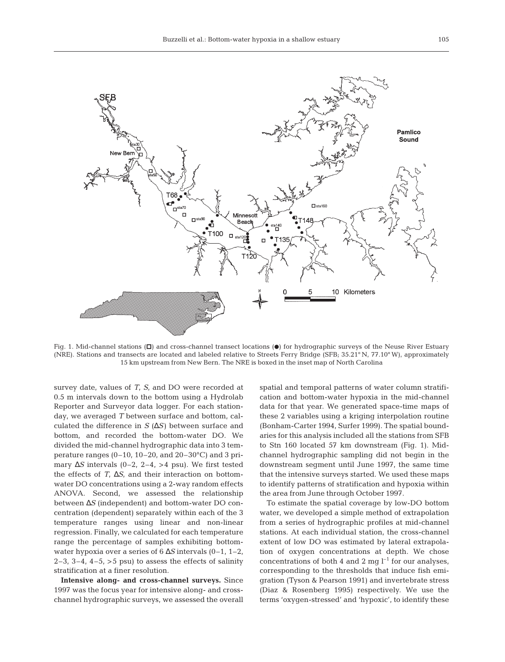

Fig. 1. Mid-channel stations  $(D)$  and cross-channel transect locations  $(0)$  for hydrographic surveys of the Neuse River Estuary (NRE). Stations and transects are located and labeled relative to Streets Ferry Bridge (SFB; 35.21° N, 77.10° W), approximately 15 km upstream from New Bern. The NRE is boxed in the inset map of North Carolina

survey date, values of *T*, *S*, and DO were recorded at 0.5 m intervals down to the bottom using a Hydrolab Reporter and Surveyor data logger. For each stationday, we averaged *T* between surface and bottom, calculated the difference in *S* (∆*S)* between surface and bottom, and recorded the bottom-water DO. We divided the mid-channel hydrographic data into 3 temperature ranges (0–10, 10–20, and  $20-30^{\circ}$ C) and 3 primary ∆*S* intervals (0–2, 2–4, >4 psu). We first tested the effects of *T*, ∆*S*, and their interaction on bottomwater DO concentrations using a 2-way random effects ANOVA. Second, we assessed the relationship between ∆*S* (independent) and bottom-water DO concentration (dependent) separately within each of the 3 temperature ranges using linear and non-linear regression. Finally, we calculated for each temperature range the percentage of samples exhibiting bottomwater hypoxia over a series of 6 ∆*S* intervals (0–1, 1–2, 2–3, 3–4, 4–5,  $>$ 5 psu) to assess the effects of salinity stratification at a finer resolution.

**Intensive along- and cross-channel surveys.** Since 1997 was the focus year for intensive along- and crosschannel hydrographic surveys, we assessed the overall spatial and temporal patterns of water column stratification and bottom-water hypoxia in the mid-channel data for that year. We generated space-time maps of these 2 variables using a kriging interpolation routine (Bonham-Carter 1994, Surfer 1999). The spatial boundaries for this analysis included all the stations from SFB to Stn 160 located 57 km downstream (Fig. 1). Midchannel hydrographic sampling did not begin in the downstream segment until June 1997, the same time that the intensive surveys started. We used these maps to identify patterns of stratification and hypoxia within the area from June through October 1997.

To estimate the spatial coverage by low-DO bottom water, we developed a simple method of extrapolation from a series of hydrographic profiles at mid-channel stations. At each individual station, the cross-channel extent of low DO was estimated by lateral extrapolation of oxygen concentrations at depth. We chose concentrations of both 4 and 2 mg  $l^{-1}$  for our analyses, corresponding to the thresholds that induce fish emigration (Tyson & Pearson 1991) and invertebrate stress (Diaz & Rosenberg 1995) respectively. We use the terms 'oxygen-stressed' and 'hypoxic', to identify these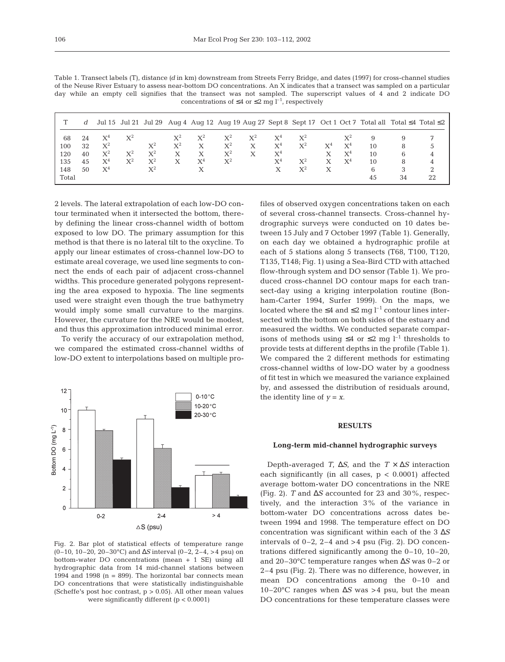|       | d  |       |                |                |                |                |                |       |                |                |                |                |    |    | Jul 15 Jul 21 Jul 29 Aug 4 Aug 12 Aug 19 Aug 27 Sept 8 Sept 17 Oct 1 Oct 7 Total all Total $\leq 4$ Total $\leq 2$ |
|-------|----|-------|----------------|----------------|----------------|----------------|----------------|-------|----------------|----------------|----------------|----------------|----|----|--------------------------------------------------------------------------------------------------------------------|
| 68    | 24 | $X^4$ | $X^2$          |                | $\mathrm{X}^2$ | $X^2$          |                | $X^2$ | $X^4$          | $X^2$          |                |                |    |    |                                                                                                                    |
| 100   | 32 | $X^2$ |                | $X^2$          | $X^2$          | X              | $\mathrm{X}^2$ | Х     | $\mathrm{X}^4$ | $X^2$          | $\mathrm{X}^4$ | $X^4$          | 10 | 8  |                                                                                                                    |
| 120   | 40 | $X^2$ | $X^2$          | $X^2$          | X              | X              | $\mathrm{X}^2$ |       | $\mathrm{X}^4$ |                |                | X <sup>4</sup> | 10 | b  |                                                                                                                    |
| 135   | 45 | $X^4$ | $\mathrm{X}^2$ | $\mathrm{X}^2$ | Х              | X <sup>4</sup> | $\mathrm{X}^2$ |       | $\mathrm{X}^4$ | $\mathrm{X}^2$ |                | $X^4$          | 10 | 8  |                                                                                                                    |
| 148   | 50 | $X^4$ |                | $X^2$          |                |                |                |       |                | $X^2$          | X              |                | 6  |    |                                                                                                                    |
| Total |    |       |                |                |                |                |                |       |                |                |                |                | 45 | 34 |                                                                                                                    |

Table 1. Transect labels (T), distance *(d* in km) downstream from Streets Ferry Bridge, and dates (1997) for cross-channel studies of the Neuse River Estuary to assess near-bottom DO concentrations. An X indicates that a transect was sampled on a particular day while an empty cell signifies that the transect was not sampled. The superscript values of 4 and 2 indicate DO concentrations of  $\leq 4$  or  $\leq 2$  mg  $l^{-1}$ , respectively

2 levels. The lateral extrapolation of each low-DO contour terminated when it intersected the bottom, thereby defining the linear cross-channel width of bottom exposed to low DO. The primary assumption for this method is that there is no lateral tilt to the oxycline. To apply our linear estimates of cross-channel low-DO to estimate areal coverage, we used line segments to connect the ends of each pair of adjacent cross-channel widths. This procedure generated polygons representing the area exposed to hypoxia. The line segments used were straight even though the true bathymetry would imply some small curvature to the margins. However, the curvature for the NRE would be modest, and thus this approximation introduced minimal error.

To verify the accuracy of our extrapolation method, we compared the estimated cross-channel widths of low-DO extent to interpolations based on multiple pro-



Fig. 2. Bar plot of statistical effects of temperature range (0–10, 10–20, 20–30°C) and ∆*S* interval (0–2, 2–4, >4 psu) on bottom-water DO concentrations (mean + 1 SE) using all hydrographic data from 14 mid-channel stations between 1994 and 1998  $(n = 899)$ . The horizontal bar connects mean DO concentrations that were statistically indistinguishable (Scheffe's post hoc contrast,  $p > 0.05$ ). All other mean values were significantly different (p < 0.0001)

files of observed oxygen concentrations taken on each of several cross-channel transects. Cross-channel hydrographic surveys were conducted on 10 dates between 15 July and 7 October 1997 (Table 1). Generally, on each day we obtained a hydrographic profile at each of 5 stations along 5 transects (T68, T100, T120, T135, T148; Fig. 1) using a Sea-Bird CTD with attached flow-through system and DO sensor (Table 1). We produced cross-channel DO contour maps for each transect-day using a kriging interpolation routine (Bonham-Carter 1994, Surfer 1999). On the maps, we located where the  $\leq 4$  and  $\leq 2$  mg l<sup>-1</sup> contour lines intersected with the bottom on both sides of the estuary and measured the widths. We conducted separate comparisons of methods using ≤4 or ≤2 mg  $l^{-1}$  thresholds to provide tests at different depths in the profile (Table 1). We compared the 2 different methods for estimating cross-channel widths of low-DO water by a goodness of fit test in which we measured the variance explained by, and assessed the distribution of residuals around, the identity line of  $y = x$ .

# **RESULTS**

## **Long-term mid-channel hydrographic surveys**

Depth-averaged *T*, ∆*S*, and the *T* × ∆*S* interaction each significantly (in all cases,  $p < 0.0001$ ) affected average bottom-water DO concentrations in the NRE (Fig. 2). *T* and ∆*S* accounted for 23 and 30%, respectively, and the interaction 3% of the variance in bottom-water DO concentrations across dates between 1994 and 1998. The temperature effect on DO concentration was significant within each of the 3 ∆*S* intervals of  $0-2$ ,  $2-4$  and  $>4$  psu (Fig. 2). DO concentrations differed significantly among the 0–10, 10–20, and 20–30°C temperature ranges when ∆*S* was 0–2 or 2–4 psu (Fig. 2). There was no difference, however, in mean DO concentrations among the 0–10 and 10–20°C ranges when ∆*S* was >4 psu, but the mean DO concentrations for these temperature classes were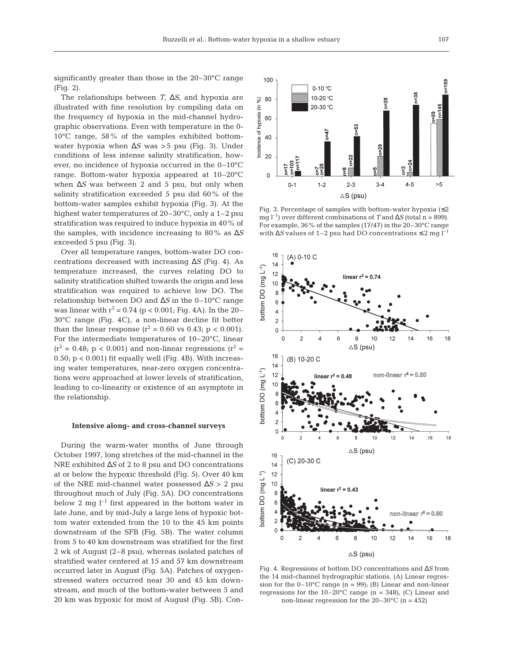significantly greater than those in the 20–30°C range (Fig. 2).

The relationships between *T*, ∆*S*, and hypoxia are illustrated with fine resolution by compiling data on the frequency of hypoxia in the mid-channel hydrographic observations. Even with temperature in the 0- 10°C range, 58% of the samples exhibited bottomwater hypoxia when ∆*S* was >5 psu (Fig. 3). Under conditions of less intense salinity stratification, however, no incidence of hypoxia occurred in the 0–10°C range. Bottom-water hypoxia appeared at 10–20°C when ∆*S* was between 2 and 5 psu, but only when salinity stratification exceeded 5 psu did 60% of the bottom-water samples exhibit hypoxia (Fig. 3). At the highest water temperatures of 20–30°C, only a 1–2 psu stratification was required to induce hypoxia in 40% of the samples, with incidence increasing to 80% as ∆*S* exceeded 5 psu (Fig. 3).

Over all temperature ranges, bottom-water DO concentrations decreased with increasing ∆*S* (Fig. 4). As temperature increased, the curves relating DO to salinity stratification shifted towards the origin and less stratification was required to achieve low DO. The relationship between DO and ∆*S* in the 0–10°C range was linear with  $r^2 = 0.74$  (p < 0.001; Fig. 4A). In the 20– 30°C range (Fig. 4C), a non-linear decline fit better than the linear response ( $r^2 = 0.60$  vs 0.43; p < 0.001). For the intermediate temperatures of 10–20°C, linear  $(r^2 = 0.48; p < 0.001)$  and non-linear regressions  $(r^2 =$  $0.50$ ;  $p < 0.001$ ) fit equally well (Fig. 4B). With increasing water temperatures, near-zero oxygen concentrations were approached at lower levels of stratification, leading to co-linearity or existence of an asymptote in the relationship.

#### **Intensive along- and cross-channel surveys**

During the warm-water months of June through October 1997, long stretches of the mid-channel in the NRE exhibited ∆*S* of 2 to 8 psu and DO concentrations at or below the hypoxic threshold (Fig. 5). Over 40 km of the NRE mid-channel water possessed ∆*S* > 2 psu throughout much of July (Fig. 5A). DO concentrations below 2 mg  $l^{-1}$  first appeared in the bottom water in late June, and by mid-July a large lens of hypoxic bottom water extended from the 10 to the 45 km points downstream of the SFB (Fig. 5B). The water column from 5 to 40 km downstream was stratified for the first 2 wk of August (2–8 psu), whereas isolated patches of stratified water centered at 15 and 57 km downstream occurred later in August (Fig. 5A). Patches of oxygenstressed waters occurred near 30 and 45 km downstream, and much of the bottom-water between 5 and 20 km was hypoxic for most of August (Fig. 5B). Con-



Fig. 3. Percentage of samples with bottom-water hypoxia  $(\leq 2)$ mg l<sup>-1</sup>) over different combinations of *T* and  $\Delta S$  (total n = 899). For example, 36% of the samples (17/47) in the 20–30°C range with ∆*S* values of 1–2 psu had DO concentrations ≤ 2 mg l–1



Fig. 4. Regressions of bottom DO concentrations and ∆*S* from the 14 mid-channel hydrographic stations. (A) Linear regression for the  $0-10^{\circ}$ C range (n = 99); (B) Linear and non-linear regressions for the  $10-20^{\circ}$ C range (n = 348), (C) Linear and non-linear regression for the  $20-30^{\circ}$ C (n = 452)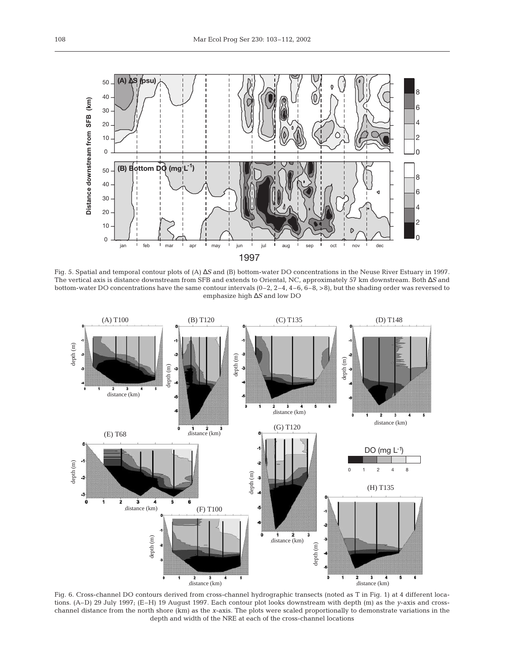

Fig. 5. Spatial and temporal contour plots of (A) ∆*S* and (B) bottom-water DO concentrations in the Neuse River Estuary in 1997. The vertical axis is distance downstream from SFB and extends to Oriental, NC, approximately 57 km downstream. Both ∆*S* and bottom-water DO concentrations have the same contour intervals  $(0-2, 2-4, 4-6, 6-8, 5)$ , but the shading order was reversed to emphasize high ∆*S* and low DO



Fig. 6. Cross-channel DO contours derived from cross-channel hydrographic transects (noted as T in Fig. 1) at 4 different locations. (A–D) 29 July 1997; (E–H) 19 August 1997. Each contour plot looks downstream with depth (m) as the *y*-axis and crosschannel distance from the north shore (km) as the *x*-axis. The plots were scaled proportionally to demonstrate variations in the depth and width of the NRE at each of the cross-channel locations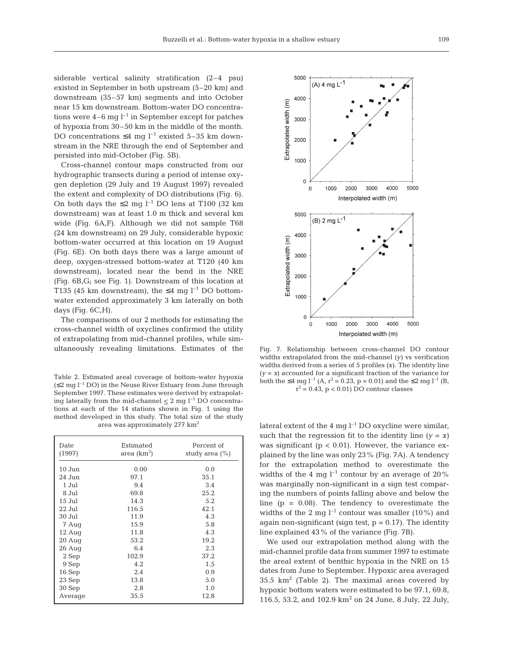siderable vertical salinity stratification (2–4 psu) existed in September in both upstream (5–20 km) and downstream (35–57 km) segments and into October near 15 km downstream. Bottom-water DO concentrations were  $4-6$  mg  $l^{-1}$  in September except for patches of hypoxia from 30–50 km in the middle of the month. DO concentrations  $\leq 4$  mg l<sup>-1</sup> existed 5–35 km downstream in the NRE through the end of September and persisted into mid-October (Fig. 5B).

Cross-channel contour maps constructed from our hydrographic transects during a period of intense oxygen depletion (29 July and 19 August 1997) revealed the extent and complexity of DO distributions (Fig. 6). On both days the  $\leq 2$  mg l<sup>-1</sup> DO lens at T100 (32 km downstream) was at least 1.0 m thick and several km wide (Fig. 6A,F). Although we did not sample T68 (24 km downstream) on 29 July, considerable hypoxic bottom-water occurred at this location on 19 August (Fig. 6E). On both days there was a large amount of deep, oxygen-stressed bottom-water at T120 (40 km downstream), located near the bend in the NRE (Fig. 6B,G; see Fig. 1). Downstream of this location at T135 (45 km downstream), the ≤4 mg  $l^{-1}$  DO bottomwater extended approximately 3 km laterally on both days (Fig. 6C,H).

The comparisons of our 2 methods for estimating the cross-channel width of oxyclines confirmed the utility of extrapolating from mid-channel profiles, while simultaneously revealing limitations. Estimates of the

Table 2. Estimated areal coverage of bottom-water hypoxia  $(52 \text{ mg } l^{-1}$  DO) in the Neuse River Estuary from June through September 1997. These estimates were derived by extrapolating laterally from the mid-channel  $\leq 2$  mg l<sup>-1</sup> DO concentrations at each of the 14 stations shown in Fig. 1 using the method developed in this study. The total size of the study area was approximately 277 km2

| Date<br>(1997)   | Estimated<br>area $(km^2)$ | Percent of<br>study area $(\% )$ |
|------------------|----------------------------|----------------------------------|
| $10$ Jun         | 0.00                       | 0.0                              |
| 24 Jun           | 97.1                       | 35.1                             |
| 1 Jul            | 9.4                        | 3.4                              |
| 8 Jul            | 69.8                       | 25.2                             |
| 15 Jul           | 14.3                       | 5.2                              |
| 22 Jul           | 116.5                      | 42.1                             |
| 30 Jul           | 11.9                       | 4.3                              |
| 7 Aug            | 15.9                       | 5.8                              |
| $12 \text{ Aug}$ | 11.8                       | 4.3                              |
| $20$ Aug         | 53.2                       | 19.2                             |
| $26$ Aug         | 6.4                        | 2.3                              |
| 2 Sep            | 102.9                      | 37.2                             |
| 9 Sep            | 4.2                        | 1.5                              |
| 16 Sep           | 2.4                        | 0.9                              |
| 23 Sep           | 13.8                       | 5.0                              |
| 30 Sep           | 2.8                        | 1.0                              |
| Average          | 35.5                       | 12.8                             |



Fig. 7. Relationship between cross-channel DO contour widths extrapolated from the mid-channel *(y)* vs verification widths derived from a series of 5 profiles *(x)*. The identity line  $(y = x)$  accounted for a significant fraction of the variance for both the ≤4 mg l<sup>-1</sup> (A, r<sup>2</sup> = 0.23, p = 0.01) and the ≤2 mg l<sup>-1</sup> (B,  $r^2$  = 0.43, p < 0.01) DO contour classes

lateral extent of the 4 mg  $l^{-1}$  DO oxycline were similar, such that the regression fit to the identity line  $(y = x)$ was significant ( $p < 0.01$ ). However, the variance explained by the line was only 23% (Fig. 7A). A tendency for the extrapolation method to overestimate the widths of the 4 mg  $l^{-1}$  contour by an average of 20% was marginally non-significant in a sign test comparing the numbers of points falling above and below the line  $(p = 0.08)$ . The tendency to overestimate the widths of the 2 mg  $l^{-1}$  contour was smaller (10%) and again non-significant (sign test,  $p = 0.17$ ). The identity line explained 43% of the variance (Fig. 7B).

We used our extrapolation method along with the mid-channel profile data from summer 1997 to estimate the areal extent of benthic hypoxia in the NRE on 15 dates from June to September. Hypoxic area averaged  $35.5 \text{ km}^2$  (Table 2). The maximal areas covered by hypoxic bottom waters were estimated to be 97.1, 69.8, 116.5, 53.2, and 102.9 km<sup>2</sup> on 24 June, 8 July, 22 July,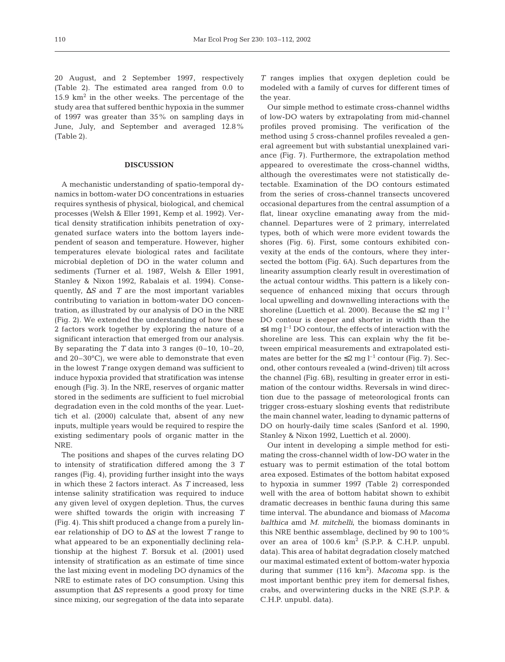20 August, and 2 September 1997, respectively (Table 2). The estimated area ranged from 0.0 to  $15.9 \text{ km}^2$  in the other weeks. The percentage of the study area that suffered benthic hypoxia in the summer of 1997 was greater than 35% on sampling days in June, July, and September and averaged 12.8% (Table 2).

# **DISCUSSION**

A mechanistic understanding of spatio-temporal dynamics in bottom-water DO concentrations in estuaries requires synthesis of physical, biological, and chemical processes (Welsh & Eller 1991, Kemp et al. 1992). Vertical density stratification inhibits penetration of oxygenated surface waters into the bottom layers independent of season and temperature. However, higher temperatures elevate biological rates and facilitate microbial depletion of DO in the water column and sediments (Turner et al. 1987, Welsh & Eller 1991, Stanley & Nixon 1992, Rabalais et al. 1994). Consequently, ∆*S* and *T* are the most important variables contributing to variation in bottom-water DO concentration, as illustrated by our analysis of DO in the NRE (Fig. 2). We extended the understanding of how these 2 factors work together by exploring the nature of a significant interaction that emerged from our analysis. By separating the  $T$  data into 3 ranges  $(0-10, 10-20, 10)$ and 20–30°C), we were able to demonstrate that even in the lowest *T* range oxygen demand was sufficient to induce hypoxia provided that stratification was intense enough (Fig. 3). In the NRE, reserves of organic matter stored in the sediments are sufficient to fuel microbial degradation even in the cold months of the year. Luettich et al. (2000) calculate that, absent of any new inputs, multiple years would be required to respire the existing sedimentary pools of organic matter in the NRE.

The positions and shapes of the curves relating DO to intensity of stratification differed among the 3 *T* ranges (Fig. 4), providing further insight into the ways in which these 2 factors interact. As *T* increased, less intense salinity stratification was required to induce any given level of oxygen depletion. Thus, the curves were shifted towards the origin with increasing *T* (Fig. 4). This shift produced a change from a purely linear relationship of DO to ∆*S* at the lowest *T* range to what appeared to be an exponentially declining relationship at the highest *T*. Borsuk et al. (2001) used intensity of stratification as an estimate of time since the last mixing event in modeling DO dynamics of the NRE to estimate rates of DO consumption. Using this assumption that ∆*S* represents a good proxy for time since mixing, our segregation of the data into separate

*T* ranges implies that oxygen depletion could be modeled with a family of curves for different times of the year.

Our simple method to estimate cross-channel widths of low-DO waters by extrapolating from mid-channel profiles proved promising. The verification of the method using 5 cross-channel profiles revealed a general agreement but with substantial unexplained variance (Fig. 7). Furthermore, the extrapolation method appeared to overestimate the cross-channel widths, although the overestimates were not statistically detectable. Examination of the DO contours estimated from the series of cross-channel transects uncovered occasional departures from the central assumption of a flat, linear oxycline emanating away from the midchannel. Departures were of 2 primary, interrelated types, both of which were more evident towards the shores (Fig. 6). First, some contours exhibited convexity at the ends of the contours, where they intersected the bottom (Fig. 6A). Such departures from the linearity assumption clearly result in overestimation of the actual contour widths. This pattern is a likely consequence of enhanced mixing that occurs through local upwelling and downwelling interactions with the shoreline (Luettich et al. 2000). Because the  $\leq 2$  mg l<sup>-1</sup> DO contour is deeper and shorter in width than the  $\leq$ 4 mg l<sup>-1</sup> DO contour, the effects of interaction with the shoreline are less. This can explain why the fit between empirical measurements and extrapolated estimates are better for the  $\leq 2$  mg  $l^{-1}$  contour (Fig. 7). Second, other contours revealed a (wind-driven) tilt across the channel (Fig. 6B), resulting in greater error in estimation of the contour widths. Reversals in wind direction due to the passage of meteorological fronts can trigger cross-estuary sloshing events that redistribute the main channel water, leading to dynamic patterns of DO on hourly-daily time scales (Sanford et al. 1990, Stanley & Nixon 1992, Luettich et al. 2000).

Our intent in developing a simple method for estimating the cross-channel width of low-DO water in the estuary was to permit estimation of the total bottom area exposed. Estimates of the bottom habitat exposed to hypoxia in summer 1997 (Table 2) corresponded well with the area of bottom habitat shown to exhibit dramatic decreases in benthic fauna during this same time interval. The abundance and biomass of *Macoma balthica* amd *M. mitchelli*, the biomass dominants in this NRE benthic assemblage, declined by 90 to 100% over an area of  $100.6 \text{ km}^2$  (S.P.P. & C.H.P. unpubl. data). This area of habitat degradation closely matched our maximal estimated extent of bottom-water hypoxia during that summer (116 km<sup>2</sup>). *Macoma* spp. is the most important benthic prey item for demersal fishes, crabs, and overwintering ducks in the NRE (S.P.P. & C.H.P. unpubl. data).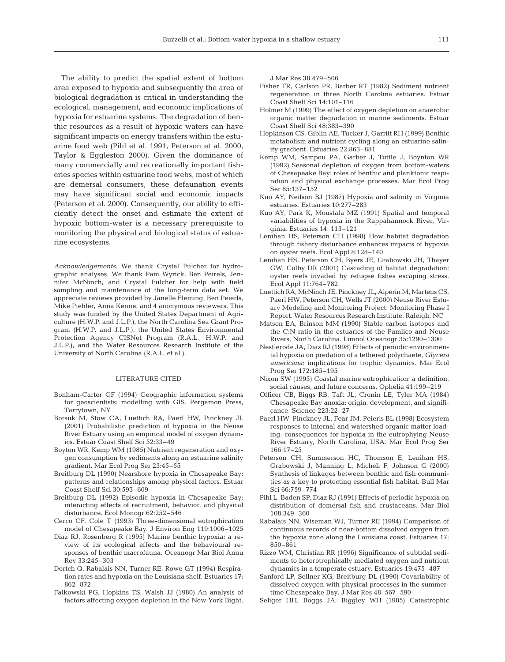The ability to predict the spatial extent of bottom area exposed to hypoxia and subsequently the area of biological degradation is critical in understanding the ecological, management, and economic implications of hypoxia for estuarine systems. The degradation of benthic resources as a result of hypoxic waters can have significant impacts on energy transfers within the estuarine food web (Pihl et al. 1991, Peterson et al. 2000, Taylor & Eggleston 2000). Given the dominance of many commercially and recreationally important fisheries species within estuarine food webs, most of which are demersal consumers, these defaunation events may have significant social and economic impacts (Peterson et al. 2000). Consequently, our ability to efficiently detect the onset and estimate the extent of hypoxic bottom-water is a necessary prerequisite to monitoring the physical and biological status of estuarine ecosystems.

*Acknowledgements.* We thank Crystal Fulcher for hydrographic analyses. We thank Pam Wyrick, Ben Peirels, Jennifer McNinch, and Crystal Fulcher for help with field sampling and maintenance of the long-term data set. We appreciate reviews provided by Janelle Fleming, Ben Peierls, Mike Piehler, Anna Kenne, and 4 anonymous reviewers. This study was funded by the United States Department of Agriculture (H.W.P. and J.L.P.), the North Carolina Sea Grant Program (H.W.P. and J.L.P.), the United States Environmental Protection Agency CISNet Program (R.A.L., H.W.P. and J.L.P.), and the Water Resources Research Institute of the University of North Carolina (R.A.L. et al.).

#### LITERATURE CITED

- Bonham-Carter GF (1994) Geographic information systems for geoscientists: modelling with GIS. Pergamon Press, Tarrytown, NY
- Borsuk M, Stow CA, Luettich RA, Paerl HW, Pinckney JL (2001) Probabilistic prediction of hypoxia in the Neuse River Estuary using an empirical model of oxygen dynamics. Estuar Coast Shelf Sci 52:33–49
- Boyton WR, Kemp WM (1985) Nutrient regeneration and oxygen consumption by sediments along an estuarine salinity gradient. Mar Ecol Prog Ser 23:45–55
- Breitburg DL (1990) Nearshore hypoxia in Chesapeake Bay: patterns and relationships among physical factors. Estuar Coast Shelf Sci 30:593–609
- Breitburg DL (1992) Episodic hypoxia in Chesapeake Bay: interacting effects of recruitment, behavior, and physical disturbance. Ecol Monogr 62:252–546
- Cerco CF, Cole T (1993) Three-dimensional eutrophication model of Chesapeake Bay. J Environ Eng 119:1006–1025
- Diaz RJ, Rosenberg R (1995) Marine benthic hypoxia: a review of its ecological effects and the behavioural responses of benthic macrofauna. Oceanogr Mar Biol Annu Rev 33:245–303
- Dortch Q, Rabalais NN, Turner RE, Rowe GT (1994) Respiration rates and hypoxia on the Louisiana shelf. Estuaries 17: 862–872
- Falkowski PG, Hopkins TS, Walsh JJ (1980) An analysis of factors affecting oxygen depletion in the New York Bight.

J Mar Res 38:479–506

- Fisher TR, Carlson PR, Barber RT (1982) Sediment nutrient regeneration in three North Carolina estuaries. Estuar Coast Shelf Sci 14:101–116
- Holmer M (1999) The effect of oxygen depletion on anaerobic organic matter degradation in marine sediments. Estuar Coast Shelf Sci 48:383–390
- Hopkinson CS, Giblin AE, Tucker J, Garritt RH (1999) Benthic metabolism and nutrient cycling along an estuarine salinity gradient. Estuaries 22:863–881
- Kemp WM, Sampou PA, Garber J, Tuttle J, Boynton WR (1992) Seasonal depletion of oxygen from bottom-waters of Chesapeake Bay: roles of benthic and planktonic respiration and physical exchange processes. Mar Ecol Prog Ser 85:137–152
- Kuo AY, Neilson BJ (1987) Hypoxia and salinity in Virginia estuaries. Estuaries 10:277–283
- Kuo AY, Park K, Moustafa MZ (1991) Spatial and temporal variabilities of hypoxia in the Rappahannock River, Virginia. Estuaries 14: 113–121
- Lenihan HS, Peterson CH (1998) How habitat degradation through fishery disturbance enhances impacts of hypoxia on oyster reefs. Ecol Appl 8:128–140
- Lenihan HS, Peterson CH, Byers JE, Grabowski JH, Thayer GW, Colby DR (2001) Cascading of habitat degradation: oyster reefs invaded by refugee fishes escaping stress. Ecol Appl 11:764–782
- Luettich RA, McNinch JE, Pinckney JL, Alperin M, Martens CS, Paerl HW, Peterson CH, Wells JT (2000) Neuse River Estuary Modeling and Monitoring Project: Monitoring Phase I Report. Water Resources Research Institute, Raleigh, NC
- Matson EA, Brinson MM (1990) Stable carbon isotopes and the C:N ratio in the estuaries of the Pamlico and Neuse Rivers, North Carolina. Limnol Oceanogr 35:1290–1300
- Nestlerode JA, Diaz RJ (1998) Effects of periodic environmental hypoxia on predation of a tethered polychaete, *Glycera americana*: implications for trophic dynamics. Mar Ecol Prog Ser 172:185–195
- Nixon SW (1995) Coastal marine eutrophication: a definition, social causes, and future concerns. Ophelia 41:199–219
- Officer CB, Biggs RB, Taft JL, Cronin LE, Tyler MA (1984) Chesapeake Bay anoxia: origin, development, and significance. Science 223:22–27
- Paerl HW, Pinckney JL, Fear JM, Peierls BL (1998) Ecosystem responses to internal and watershed organic matter loading: consequences for hypoxia in the eutrophying Neuse River Estuary, North Carolina, USA. Mar Ecol Prog Ser 166:17–25
- Peterson CH, Summerson HC, Thomson E, Lenihan HS, Grabowski J, Manning L, Micheli F, Johnson G (2000) Synthesis of linkages between benthic and fish communities as a key to protecting essential fish habitat. Bull Mar Sci 66:759–774
- Pihl L, Baden SP, Diaz RJ (1991) Effects of periodic hypoxia on distribution of demersal fish and crustaceans. Mar Biol 108:349–360
- Rabalais NN, Wiseman WJ, Turner RE (1994) Comparison of continuous records of near-bottom dissolved oxygen from the hypoxia zone along the Louisiana coast. Estuaries 17: 850–861
- Rizzo WM, Christian RR (1996) Significance of subtidal sediments to heterotrophically mediated oxygen and nutrient dynamics in a temperate estuary. Estuaries 19:475–487
- Sanford LP, Sellner KG, Breitburg DL (1990) Covariability of dissolved oxygen with physical processes in the summertime Chesapeake Bay. J Mar Res 48: 567–590
- Seliger HH, Boggs JA, Biggley WH (1985) Catastrophic